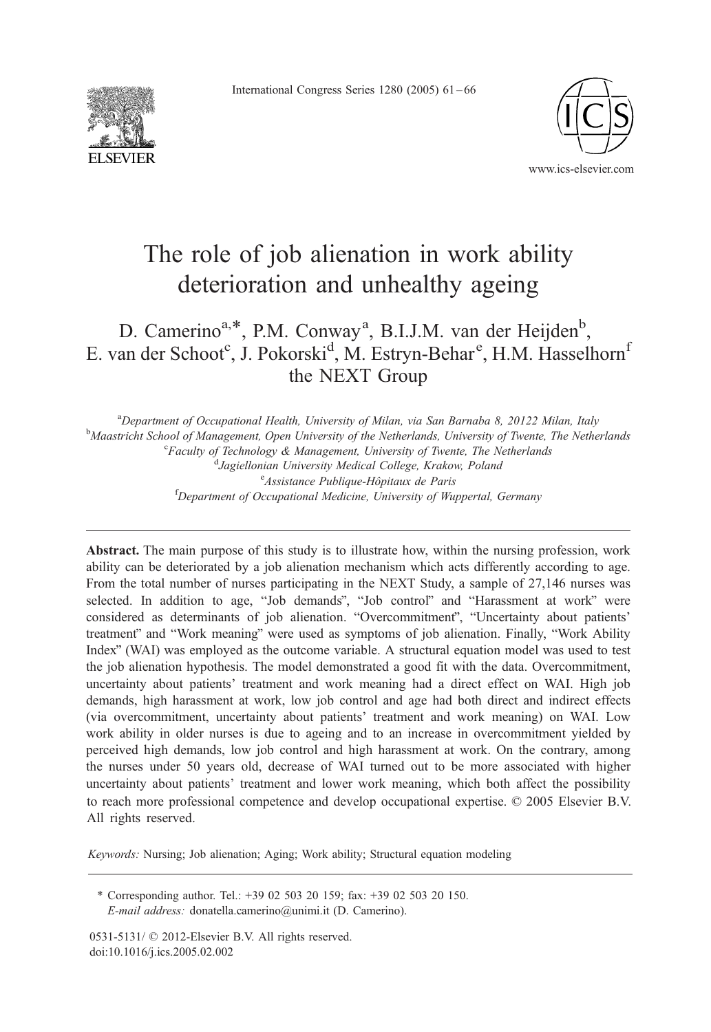International Congress Series 1280 (2005) 61 – 66





# The role of job alienation in work ability deterioration and unhealthy ageing

# D. Camerino<sup>a,\*</sup>, P.M. Conway<sup>a</sup>, B.I.J.M. van der Heijden<sup>b</sup>, E. van der Schoot<sup>c</sup>, J. Pokorski<sup>d</sup>, M. Estryn-Behar<sup>e</sup>, H.M. Hasselhorn<sup>f</sup> the NEXT Group

<sup>a</sup> Department of Occupational Health, University of Milan, via San Barnaba 8, 20122 Milan, Italy<br><sup>b</sup> Magetricht School of Managament, Open University of the Natherlands, University of Twenta. The Nather <sup>b</sup>Maastricht School of Management, Open University of the Netherlands, University of Twente, The Netherlands  ${}^c$ Faculty of Technology & Management, University of Twente, The Netherlands Jagiellonian University Medical College, Krakow, Poland <sup>e</sup> Assistance Publique-Hôpitaux de Paris <sup>e</sup> Assistance Publique-Hôpitaux de Paris<br><sup>f</sup>Department of Occupational Medicine, University of Wuppertal, Germany

Abstract. The main purpose of this study is to illustrate how, within the nursing profession, work ability can be deteriorated by a job alienation mechanism which acts differently according to age. From the total number of nurses participating in the NEXT Study, a sample of 27,146 nurses was selected. In addition to age, "Job demands", "Job control" and "Harassment at work" were considered as determinants of job alienation. "Overcommitment", "Uncertainty about patients' treatment" and "Work meaning" were used as symptoms of job alienation. Finally, "Work Ability Index" (WAI) was employed as the outcome variable. A structural equation model was used to test the job alienation hypothesis. The model demonstrated a good fit with the data. Overcommitment, uncertainty about patients' treatment and work meaning had a direct effect on WAI. High job demands, high harassment at work, low job control and age had both direct and indirect effects (via overcommitment, uncertainty about patients' treatment and work meaning) on WAI. Low work ability in older nurses is due to ageing and to an increase in overcommitment yielded by perceived high demands, low job control and high harassment at work. On the contrary, among the nurses under 50 years old, decrease of WAI turned out to be more associated with higher uncertainty about patients' treatment and lower work meaning, which both affect the possibility to reach more professional competence and develop occupational expertise.  $\heartsuit$  2005 Elsevier B.V. All rights reserved.

Keywords: Nursing; Job alienation; Aging; Work ability; Structural equation modeling

\* Corresponding author. Tel.: +39 02 503 20 159; fax: +39 02 503 20 150. E-mail address: donatella.camerino@unimi.it (D. Camerino).

0531-5131/ © 2012-Elsevier B.V. All rights reserved. doi:10.1016/j.ics.2005.02.002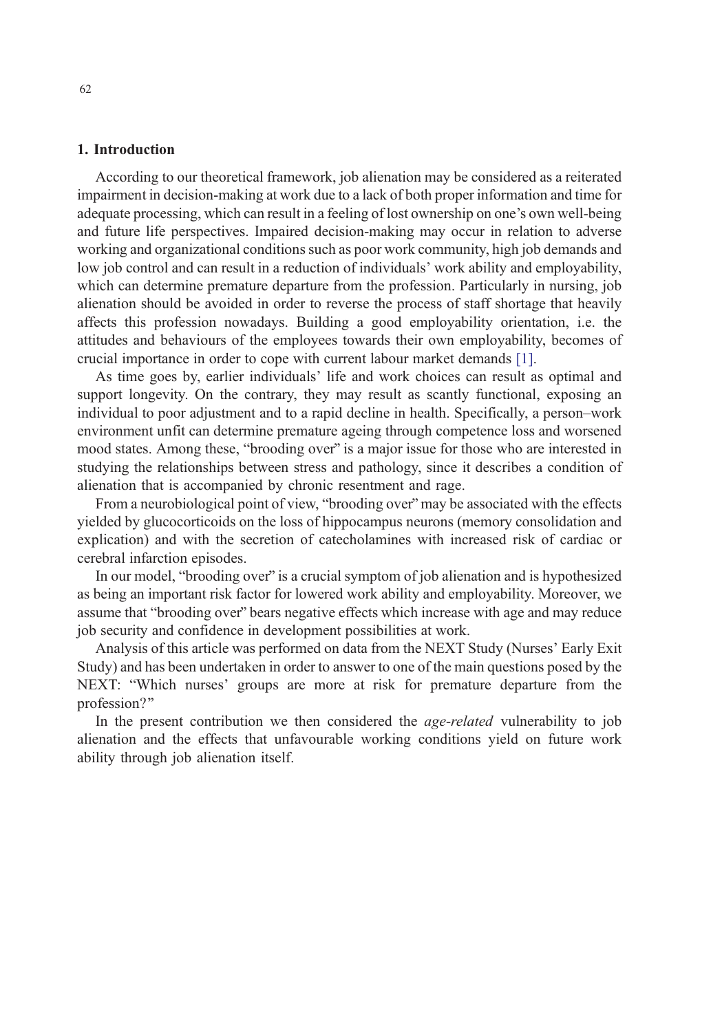# 1. Introduction

According to our theoretical framework, job alienation may be considered as a reiterated impairment in decision-making at work due to a lack of both proper information and time for adequate processing, which can result in a feeling of lost ownership on one's own well-being and future life perspectives. Impaired decision-making may occur in relation to adverse working and organizational conditions such as poor work community, high job demands and low job control and can result in a reduction of individuals' work ability and employability, which can determine premature departure from the profession. Particularly in nursing, job alienation should be avoided in order to reverse the process of staff shortage that heavily affects this profession nowadays. Building a good employability orientation, i.e. the attitudes and behaviours of the employees towards their own employability, becomes of crucial importance in order to cope with current labour market demands [1].

As time goes by, earlier individuals' life and work choices can result as optimal and support longevity. On the contrary, they may result as scantly functional, exposing an individual to poor adjustment and to a rapid decline in health. Specifically, a person–work environment unfit can determine premature ageing through competence loss and worsened mood states. Among these, "brooding over" is a major issue for those wh[o ar](#page-5-0)e interested in studying the relationships between stress and pathology, since it describes a condition of alienation that is accompanied by chronic resentment and rage.

From a neurobiological point of view, "brooding over" may be associated with the effects yielded by glucocorticoids on the loss of hippocampus neurons (memory consolidation and explication) and with the secretion of catecholamines with increased risk of cardiac or cerebral infarction episodes.

In our model, "brooding over" is a crucial symptom of job alienation and is hypothesized as being an important risk factor for lowered work ability and employability. Moreover, we assume that "brooding over" bears negative effects which increase with age and may reduce job security and confidence in development possibilities at work.

Analysis of this article was performed on data from the NEXT Study (Nurses' Early Exit Study) and has been undertaken in order to answer to one of the main questions posed by the NEXT: "Which nurses' groups are more at risk for premature departure from the profession?"

In the present contribution we then considered the age-related vulnerability to job alienation and the effects that unfavourable working conditions yield on future work ability through job alienation itself.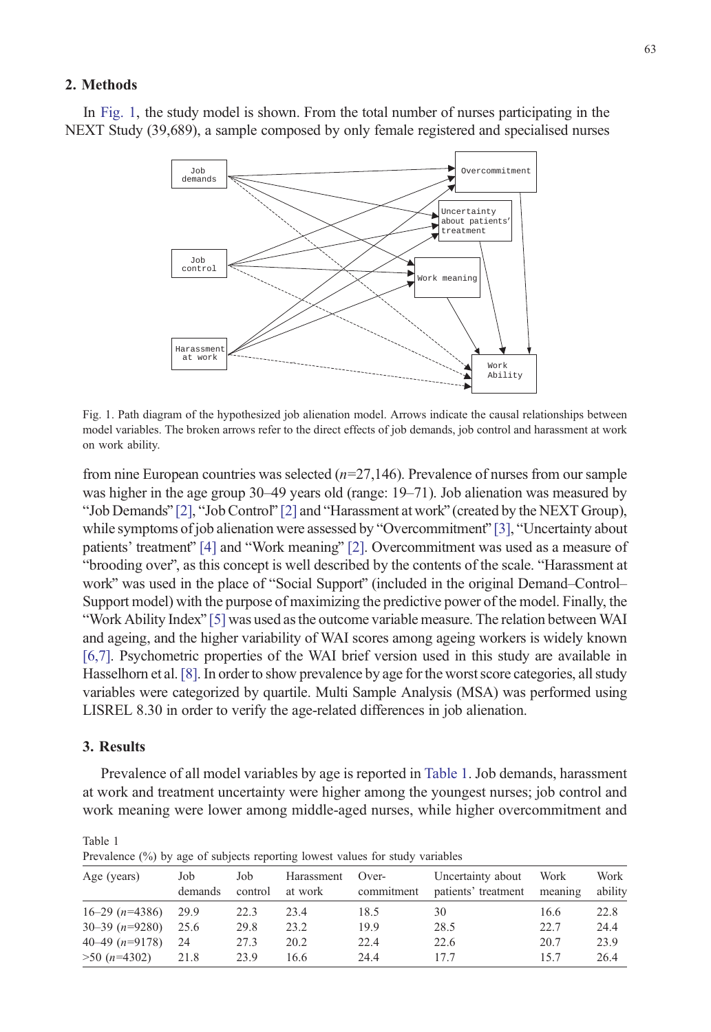# 2. Methods

In Fig. 1, the study model is shown. From the total number of nurses participating in the NEXT Study (39,689), a sample composed by only female registered and specialised nurses



Fig. 1. Path diagram of the hypothesized job alienation model. Arrows indicate the causal relationships between model variables. The broken arrows refer to the direct effects of job demands, job control and harassment at work on work ability.

from nine Europ[ean](#page-5-0) countries was [sele](#page-5-0)cted  $(n=27,146)$ . Prevalence of nurses from our sample was higher in the age group 30–49 years old (range: 19–71). Job alien[ation](#page-5-0) was measured by "[Job](#page-5-0) Demands"  $[2]$ , "Job Control"  $[2]$  and "Har[ass](#page-5-0)ment at work" (created by the NEXT Group), while symptoms of job alienation were assessed by "Overcommitment" [3], "Uncertainty about patients' treatment' [4] and "Work meaning" [2]. Overcommitment was used as a measure of "brooding over", as this concept is well described by the contents of the scale. "Harassment at work" was used in th[e pla](#page-5-0)ce of "Social Support" (included in the original Demand–Control– Support model) with the purpose of maximizing the predictive power of the model. Finally, the "[Wor](#page-5-0)k Ability Index" [5] was used as the outcome variable measure. The relation between WAI and ageing, and t[he h](#page-5-0)igher variability of WAI scores among ageing workers is widely known [6,7]. Psychometric properties of the WAI brief version used in this study are available in Hasselhorn et al.[8]. In order to show prevalence by age for the worst score categories, all study variables were categorized by quartile. Multi Sample Analysis (MSA) was performed using LISREL 8.30 in order to verify the age-related differences in job alienation.

## 3. Results

Table 1

Prevalence of all model variables by age is reported in Table 1. Job demands, harassment at work and treatment uncertainty were higher among the youngest nurses; job control and work meaning were lower among middle-aged nurses, while higher overcommitment and

| Trevalence (70) by age of subjects reporting fowest values for study variables |                |                |                       |                     |                                          |                 |                 |
|--------------------------------------------------------------------------------|----------------|----------------|-----------------------|---------------------|------------------------------------------|-----------------|-----------------|
| Age (years)                                                                    | Job<br>demands | Job<br>control | Harassment<br>at work | Over-<br>commitment | Uncertainty about<br>patients' treatment | Work<br>meaning | Work<br>ability |
| $16-29$ (n=4386)                                                               | 29.9           | 22.3           | 23.4                  | 18.5                | 30                                       | 16.6            | 22.8            |
| $30 - 39$ (n=9280)                                                             | 25.6           | 29.8           | 23.2                  | 19.9                | 28.5                                     | 22.7            | 24.4            |
| $40-49$ (n=9178)                                                               | 24             | 27.3           | 20.2                  | 22.4                | 22.6                                     | 20.7            | 23.9            |
| $>50$ (n=4302)                                                                 | 21.8           | 23.9           | 16.6                  | 24.4                | 17.7                                     | 157             | 26.4            |

Prevalence (%) by age of subjects reporting lowest values for study variables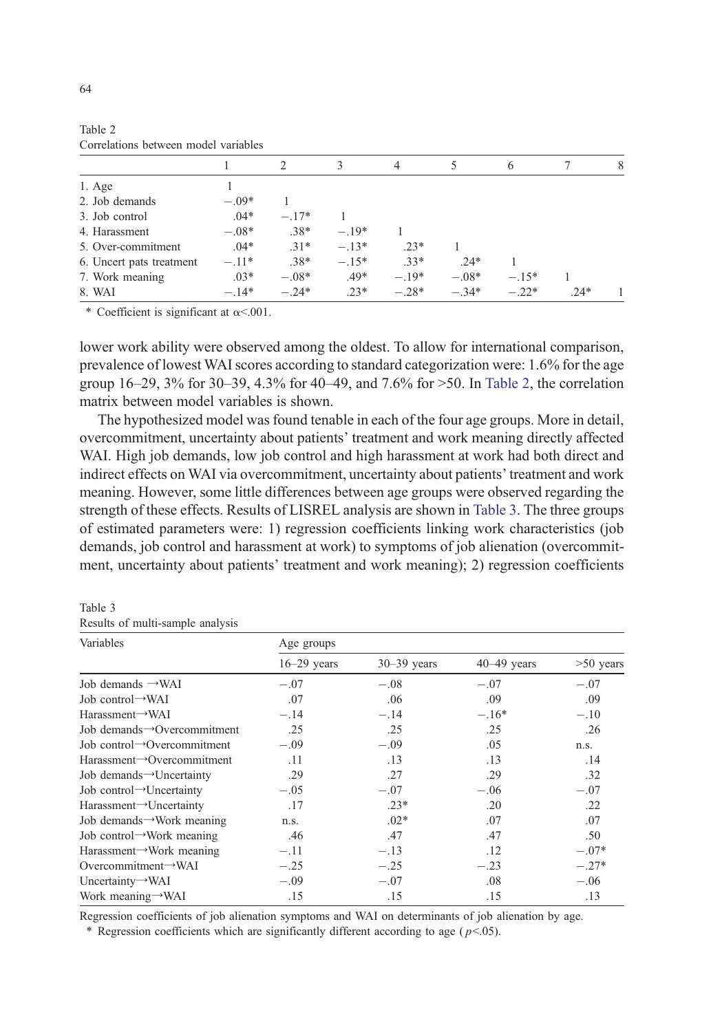|                    |                          |         |         | 3       | 4       |         | <sub>(</sub> |        | 8 |
|--------------------|--------------------------|---------|---------|---------|---------|---------|--------------|--------|---|
| $1. \text{Age}$    |                          |         |         |         |         |         |              |        |   |
| 2. Job demands     |                          | $-.09*$ |         |         |         |         |              |        |   |
| 3. Job control     |                          | $.04*$  | $-.17*$ |         |         |         |              |        |   |
| 4. Harassment      |                          | $-.08*$ | $.38*$  | $-.19*$ |         |         |              |        |   |
| 5. Over-commitment |                          | $.04*$  | $.31*$  | $-.13*$ | $.23*$  |         |              |        |   |
|                    | 6. Uncert pats treatment | $-.11*$ | $.38*$  | $-.15*$ | $.33*$  | $24*$   |              |        |   |
| 7. Work meaning    |                          | $.03*$  | $-.08*$ | $.49*$  | $-.19*$ | $-.08*$ | $-.15*$      |        |   |
| 8. WAI             |                          | $-.14*$ | $-.24*$ | $.23*$  | $-.28*$ | $-.34*$ | $-.22*$      | $.24*$ |   |

Table 2 Correlations between model variables

\* Coefficient is significant at  $\alpha$ <.001.

lower work ability were observed among the oldest. To allow for international comparison, prevalence of lowest WAI scores according to standard categorization were: 1.6% for the age group  $16-29$ ,  $3\%$  for  $30-39$ ,  $4.3\%$  for  $40-49$ , and  $7.6\%$  for  $>50$ . In Table 2, the correlation matrix between model variables is shown.

The hypothesized model was found tenable in each of the four age groups. More in detail, overcommitment, uncertainty about patients' treatment and work meaning directly affected WAI. High job demands, low job control and high harassment at work had both direct and indirect effects on WAI via overcommitment, uncertainty about patients' treatment and work meaning. However, some little differences between age groups were observed regarding the strength of these effects. Results of LISREL analysis are shown in Table 3. The three groups of estimated parameters were: 1) regression coefficients linking work characteristics (job demands, job control and harassment at work) to symptoms of job alienation (overcommitment, uncertainty about patients' treatment and work meaning); 2) regression coefficients

Table 3 Results of multi-sample analysis

| Variables                                | Age groups    |                 |               |             |  |  |  |
|------------------------------------------|---------------|-----------------|---------------|-------------|--|--|--|
|                                          | $16-29$ years | $30 - 39$ years | $40-49$ years | $>50$ years |  |  |  |
| Job demands $\rightarrow$ WAI            | $-.07$        | $-.08$          | $-.07$        | $-.07$      |  |  |  |
| Job control $\rightarrow$ WAI            | .07           | .06             | .09           | .09         |  |  |  |
| $Harassment \rightarrow WAI$             | $-.14$        | $-.14$          | $-.16*$       | $-.10$      |  |  |  |
| Job demands Overcommitment               | .25           | .25             | .25           | .26         |  |  |  |
| Job control $\rightarrow$ Overcommitment | $-.09$        | $-.09$          | .05           | n.s.        |  |  |  |
| $Harassment \rightarrow Overcommitment$  | .11           | .13             | .13           | .14         |  |  |  |
| Job demands->Uncertainty                 | .29           | .27             | .29           | .32         |  |  |  |
| Job control→Uncertainty                  | $-.05$        | $-.07$          | $-.06$        | $-.07$      |  |  |  |
| $Harassment \rightarrow Uncertainty$     | .17           | $.23*$          | .20           | .22         |  |  |  |
| Job demands $\rightarrow$ Work meaning   | n.s.          | $.02*$          | .07           | .07         |  |  |  |
| Job control – Work meaning               | .46           | .47             | .47           | .50         |  |  |  |
| Harassment $\rightarrow$ Work meaning    | $-.11$        | $-.13$          | .12           | $-.07*$     |  |  |  |
| Overcommitment $\rightarrow$ WAI         | $-.25$        | $-.25$          | $-.23$        | $-.27*$     |  |  |  |
| Uncertainty $\rightarrow$ WAI            | $-.09$        | $-.07$          | .08           | $-.06$      |  |  |  |
| Work meaning→WAI                         | .15           | .15             | .15           | .13         |  |  |  |

Regression coefficients of job alienation symptoms and WAI on determinants of job alienation by age.

\* Regression coefficients which are significantly different according to age ( $p<0.05$ ).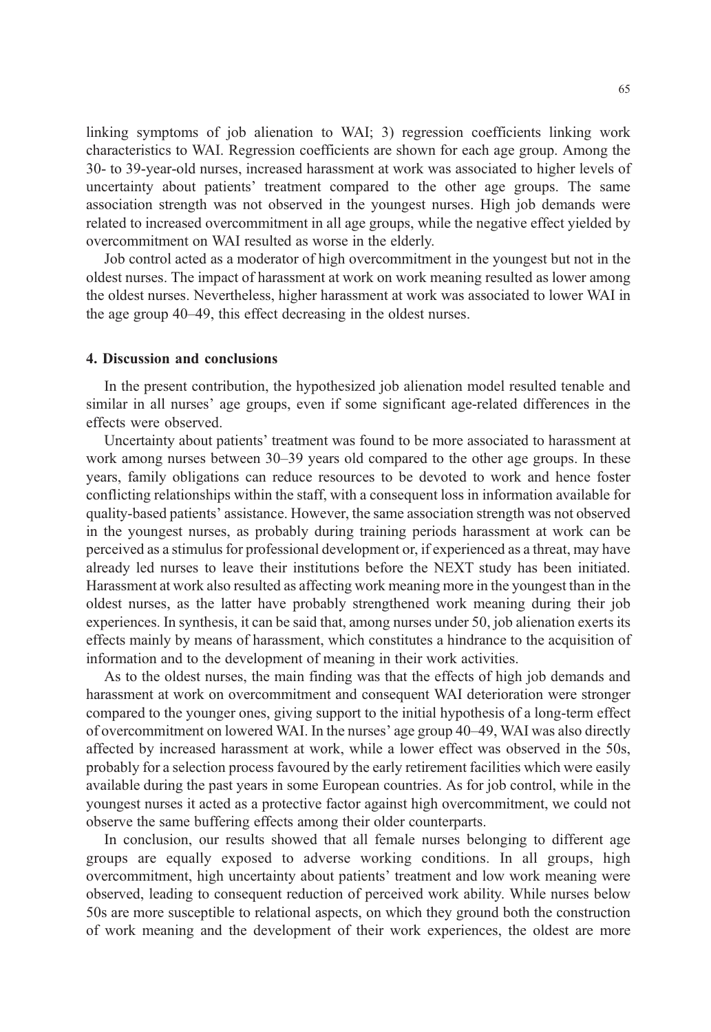linking symptoms of job alienation to WAI; 3) regression coefficients linking work characteristics to WAI. Regression coefficients are shown for each age group. Among the 30- to 39-year-old nurses, increased harassment at work was associated to higher levels of uncertainty about patients' treatment compared to the other age groups. The same association strength was not observed in the youngest nurses. High job demands were related to increased overcommitment in all age groups, while the negative effect yielded by overcommitment on WAI resulted as worse in the elderly.

Job control acted as a moderator of high overcommitment in the youngest but not in the oldest nurses. The impact of harassment at work on work meaning resulted as lower among the oldest nurses. Nevertheless, higher harassment at work was associated to lower WAI in the age group 40–49, this effect decreasing in the oldest nurses.

#### 4. Discussion and conclusions

In the present contribution, the hypothesized job alienation model resulted tenable and similar in all nurses' age groups, even if some significant age-related differences in the effects were observed.

Uncertainty about patients' treatment was found to be more associated to harassment at work among nurses between 30–39 years old compared to the other age groups. In these years, family obligations can reduce resources to be devoted to work and hence foster conflicting relationships within the staff, with a consequent loss in information available for quality-based patients' assistance. However, the same association strength was not observed in the youngest nurses, as probably during training periods harassment at work can be perceived as a stimulus for professional development or, if experienced as a threat, may have already led nurses to leave their institutions before the NEXT study has been initiated. Harassment at work also resulted as affecting work meaning more in the youngest than in the oldest nurses, as the latter have probably strengthened work meaning during their job experiences. In synthesis, it can be said that, among nurses under 50, job alienation exerts its effects mainly by means of harassment, which constitutes a hindrance to the acquisition of information and to the development of meaning in their work activities.

As to the oldest nurses, the main finding was that the effects of high job demands and harassment at work on overcommitment and consequent WAI deterioration were stronger compared to the younger ones, giving support to the initial hypothesis of a long-term effect of overcommitment on lowered WAI. In the nurses' age group 40–49, WAI was also directly affected by increased harassment at work, while a lower effect was observed in the 50s, probably for a selection process favoured by the early retirement facilities which were easily available during the past years in some European countries. As for job control, while in the youngest nurses it acted as a protective factor against high overcommitment, we could not observe the same buffering effects among their older counterparts.

In conclusion, our results showed that all female nurses belonging to different age groups are equally exposed to adverse working conditions. In all groups, high overcommitment, high uncertainty about patients' treatment and low work meaning were observed, leading to consequent reduction of perceived work ability. While nurses below 50s are more susceptible to relational aspects, on which they ground both the construction of work meaning and the development of their work experiences, the oldest are more